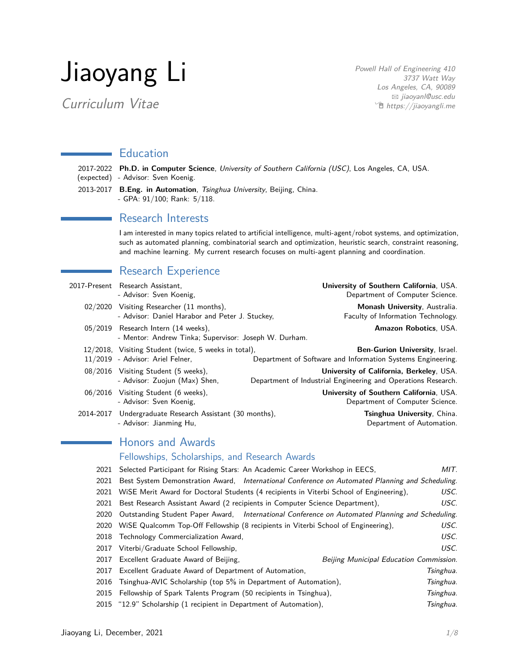# Jiaoyang Li

Curriculum Vitae

Powell Hall of Engineering 410 3737 Watt Way Los Angeles, CA, 90089 B [jiaoyanl@usc.edu](mailto:jiaoyanl@usc.edu)  $\hat{p}$  [https://jiaoyangli.me](http://jiaoyangli.me/)

## **Education**

2017-2022 **Ph.D. in Computer Science**, University of Southern California (USC), Los Angeles, CA, USA. (expected) - Advisor: [Sven Koenig.](http://idm-lab.org/)

2013-2017 **B.Eng. in Automation**, Tsinghua University, Beijing, China. - GPA: 91/100; Rank: 5/118.

## **Research Interests**

I am interested in many topics related to artificial intelligence, multi-agent/robot systems, and optimization, such as automated planning, combinatorial search and optimization, heuristic search, constraint reasoning, and machine learning. My current research focuses on multi-agent planning and coordination.

## Research Experience

|           | 2017-Present Research Assistant.<br>- Advisor: Sven Koenig,                                  | University of Southern California, USA.<br>Department of Computer Science.                                |
|-----------|----------------------------------------------------------------------------------------------|-----------------------------------------------------------------------------------------------------------|
|           | 02/2020 Visiting Researcher (11 months),<br>- Advisor: Daniel Harabor and Peter J. Stuckey,  | Monash University, Australia.<br>Faculty of Information Technology.                                       |
|           | 05/2019 Research Intern (14 weeks),<br>- Mentor: Andrew Tinka; Supervisor: Joseph W. Durham. | <b>Amazon Robotics, USA.</b>                                                                              |
|           | 12/2018, Visiting Student (twice, 5 weeks in total),<br>11/2019 - Advisor: Ariel Felner,     | Ben-Gurion University, Israel.<br>Department of Software and Information Systems Engineering.             |
|           | 08/2016 Visiting Student (5 weeks),<br>- Advisor: Zuojun (Max) Shen,                         | University of California, Berkeley, USA.<br>Department of Industrial Engineering and Operations Research. |
|           | 06/2016 Visiting Student (6 weeks),<br>- Advisor: Sven Koenig,                               | University of Southern California, USA.<br>Department of Computer Science.                                |
| 2014-2017 | Undergraduate Research Assistant (30 months),<br>- Advisor: Jianming Hu,                     | Tsinghua University, China.<br>Department of Automation.                                                  |
|           |                                                                                              |                                                                                                           |

## Honors and Awards

#### Fellowships, Scholarships, and Research Awards

| 2021 | Selected Participant for Rising Stars: An Academic Career Workshop in EECS,                     | MIT.      |
|------|-------------------------------------------------------------------------------------------------|-----------|
| 2021 | Best System Demonstration Award, International Conference on Automated Planning and Scheduling. |           |
| 2021 | WISE Merit Award for Doctoral Students (4 recipients in Viterbi School of Engineering),         | USC.      |
| 2021 | Best Research Assistant Award (2 recipients in Computer Science Department),                    | USC.      |
| 2020 | Outstanding Student Paper Award, International Conference on Automated Planning and Scheduling. |           |
| 2020 | WiSE Qualcomm Top-Off Fellowship (8 recipients in Viterbi School of Engineering),               | USC.      |
| 2018 | Technology Commercialization Award,                                                             | USC.      |
| 2017 | Viterbi/Graduate School Fellowship,                                                             | USC.      |
|      | 2017 Excellent Graduate Award of Beijing,<br>Beijing Municipal Education Commission.            |           |
| 2017 | Excellent Graduate Award of Department of Automation,                                           | Tsinghua. |
| 2016 | Tsinghua-AVIC Scholarship (top 5% in Department of Automation),                                 | Tsinghua. |
|      | 2015 Fellowship of Spark Talents Program (50 recipients in Tsinghua),                           | Tsinghua. |
|      | 2015 "12.9" Scholarship (1 recipient in Department of Automation),                              | Tsinghua. |
|      |                                                                                                 |           |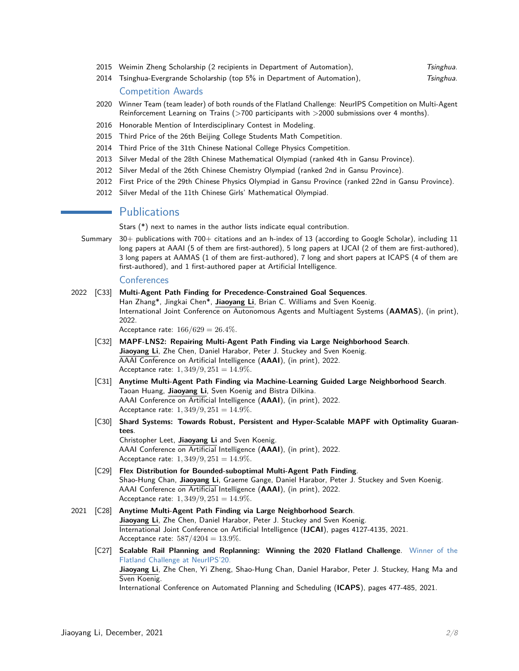- 2015 Weimin Zheng Scholarship (2 recipients in Department of Automation), The Tsinghua.
- 2014 Tsinghua-Evergrande Scholarship (top 5% in Department of Automation), Tsinghua. Competition Awards
- 2020 Winner Team (team leader) of both rounds of the Flatland Challenge: NeurIPS Competition on Multi-Agent Reinforcement Learning on Trains (>700 participants with >2000 submissions over 4 months).
- 2016 Honorable Mention of Interdisciplinary Contest in Modeling.
- 2015 Third Price of the 26th Beijing College Students Math Competition.
- 2014 Third Price of the 31th Chinese National College Physics Competition.
- 2013 Silver Medal of the 28th Chinese Mathematical Olympiad (ranked 4th in Gansu Province).
- 2012 Silver Medal of the 26th Chinese Chemistry Olympiad (ranked 2nd in Gansu Province).
- 2012 First Price of the 29th Chinese Physics Olympiad in Gansu Province (ranked 22nd in Gansu Province).
- 2012 Silver Medal of the 11th Chinese Girls' Mathematical Olympiad.

#### **Publications**

Stars (\*) next to names in the author lists indicate equal contribution.

Summary 30+ publications with 700+ citations and an h-index of 13 (according to Google Scholar), including 11 long papers at AAAI (5 of them are first-authored), 5 long papers at IJCAI (2 of them are first-authored), 3 long papers at AAMAS (1 of them are first-authored), 7 long and short papers at ICAPS (4 of them are first-authored), and 1 first-authored paper at Artificial Intelligence.

#### **Conferences**

2022 [C33] **Multi-Agent Path Finding for Precedence-Constrained Goal Sequences**.

Han Zhang\*, Jingkai Chen\*, **Jiaoyang Li**, Brian C. Williams and Sven Koenig. International Joint Conference on Autonomous Agents and Multiagent Systems (**AAMAS**), (in print), 2022.

Acceptance rate: 166*/*629 = 26*.*4%.

- [C32] **MAPF-LNS2: Repairing Multi-Agent Path Finding via Large Neighborhood Search**. **Jiaoyang Li**, Zhe Chen, Daniel Harabor, Peter J. Stuckey and Sven Koenig. AAAI Conference on Artificial Intelligence (**AAAI**), (in print), 2022. Acceptance rate: 1*,* 349*/*9*,* 251 = 14*.*9%.
- [C31] **Anytime Multi-Agent Path Finding via Machine-Learning Guided Large Neighborhood Search**. Taoan Huang, **Jiaoyang Li**, Sven Koenig and Bistra Dilkina. AAAI Conference on Artificial Intelligence (**AAAI**), (in print), 2022. Acceptance rate: 1*,* 349*/*9*,* 251 = 14*.*9%.
- [C30] **Shard Systems: Towards Robust, Persistent and Hyper-Scalable MAPF with Optimality Guarantees**. Christopher Leet, **Jiaoyang Li** and Sven Koenig.

AAAI Conference on Artificial Intelligence (**AAAI**), (in print), 2022. Acceptance rate: 1*,* 349*/*9*,* 251 = 14*.*9%.

- [C29] **Flex Distribution for Bounded-suboptimal Multi-Agent Path Finding**. Shao-Hung Chan, **Jiaoyang Li**, Graeme Gange, Daniel Harabor, Peter J. Stuckey and Sven Koenig. AAAI Conference on Artificial Intelligence (**AAAI**), (in print), 2022. Acceptance rate: 1*,* 349*/*9*,* 251 = 14*.*9%.
- 2021 [C28] **Anytime Multi-Agent Path Finding via Large Neighborhood Search**. **Jiaoyang Li**, Zhe Chen, Daniel Harabor, Peter J. Stuckey and Sven Koenig. International Joint Conference on Artificial Intelligence (**IJCAI**), pages 4127-4135, 2021. Acceptance rate: 587*/*4204 = 13*.*9%.
	- [C27] **Scalable Rail Planning and Replanning: Winning the 2020 Flatland Challenge**. Winner of the Flatland Challenge at NeurIPS'20. **Jiaoyang Li**, Zhe Chen, Yi Zheng, Shao-Hung Chan, Daniel Harabor, Peter J. Stuckey, Hang Ma and Sven Koenig.

International Conference on Automated Planning and Scheduling (**ICAPS**), pages 477-485, 2021.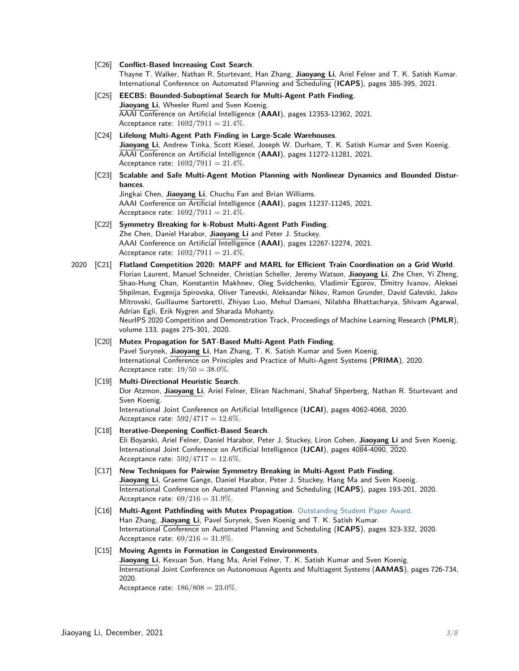- [C26] **Conflict-Based Increasing Cost Search**. Thayne T. Walker, Nathan R. Sturtevant, Han Zhang, **Jiaoyang Li**, Ariel Felner and T. K. Satish Kumar. International Conference on Automated Planning and Scheduling (**ICAPS**), pages 385-395, 2021.
- [C25] **EECBS: Bounded-Suboptimal Search for Multi-Agent Path Finding**. **Jiaoyang Li**, Wheeler Ruml and Sven Koenig. AAAI Conference on Artificial Intelligence (**AAAI**), pages 12353-12362, 2021. Acceptance rate: 1692*/*7911 = 21*.*4%.
- [C24] **Lifelong Multi-Agent Path Finding in Large-Scale Warehouses**. **Jiaoyang Li**, Andrew Tinka, Scott Kiesel, Joseph W. Durham, T. K. Satish Kumar and Sven Koenig. AAAI Conference on Artificial Intelligence (**AAAI**), pages 11272-11281, 2021. Acceptance rate: 1692*/*7911 = 21*.*4%.
- [C23] **Scalable and Safe Multi-Agent Motion Planning with Nonlinear Dynamics and Bounded Disturbances**. Jingkai Chen, **Jiaoyang Li**, Chuchu Fan and Brian Williams.

AAAI Conference on Artificial Intelligence (**AAAI**), pages 11237-11245, 2021. Acceptance rate: 1692*/*7911 = 21*.*4%.

- [C22] **Symmetry Breaking for k-Robust Multi-Agent Path Finding**. Zhe Chen, Daniel Harabor, **Jiaoyang Li** and Peter J. Stuckey. AAAI Conference on Artificial Intelligence (**AAAI**), pages 12267-12274, 2021. Acceptance rate: 1692*/*7911 = 21*.*4%.
- 2020 [C21] **Flatland Competition 2020: MAPF and MARL for Efficient Train Coordination on a Grid World**. Florian Laurent, Manuel Schneider, Christian Scheller, Jeremy Watson, **Jiaoyang Li**, Zhe Chen, Yi Zheng, Shao-Hung Chan, Konstantin Makhnev, Oleg Svidchenko, Vladimir Egorov, Dmitry Ivanov, Aleksei Shpilman, Evgenija Spirovska, Oliver Tanevski, Aleksandar Nikov, Ramon Grunder, David Galevski, Jakov Mitrovski, Guillaume Sartoretti, Zhiyao Luo, Mehul Damani, Nilabha Bhattacharya, Shivam Agarwal, Adrian Egli, Erik Nygren and Sharada Mohanty. NeurIPS 2020 Competition and Demonstration Track, Proceedings of Machine Learning Research (**PMLR**), volume 133, pages 275-301, 2020.

#### [C20] **Mutex Propagation for SAT-Based Multi-Agent Path Finding**.

Pavel Surynek, **Jiaoyang Li**, Han Zhang, T. K. Satish Kumar and Sven Koenig. International Conference on Principles and Practice of Multi-Agent Systems (**PRIMA**), 2020. Acceptance rate: 19*/*50 = 38*.*0%.

#### [C19] **Multi-Directional Heuristic Search**.

Dor Atzmon, **Jiaoyang Li**, Ariel Felner, Eliran Nachmani, Shahaf Shperberg, Nathan R. Sturtevant and Sven Koenig.

International Joint Conference on Artificial Intelligence (**IJCAI**), pages 4062-4068, 2020. Acceptance rate: 592*/*4717 = 12*.*6%.

[C18] **Iterative-Deepening Conflict-Based Search**.

Eli Boyarski, Ariel Felner, Daniel Harabor, Peter J. Stuckey, Liron Cohen, **Jiaoyang Li** and Sven Koenig. International Joint Conference on Artificial Intelligence (**IJCAI**), pages 4084-4090, 2020. Acceptance rate: 592*/*4717 = 12*.*6%.

- [C17] **New Techniques for Pairwise Symmetry Breaking in Multi-Agent Path Finding**. **Jiaoyang Li**, Graeme Gange, Daniel Harabor, Peter J. Stuckey, Hang Ma and Sven Koenig. International Conference on Automated Planning and Scheduling (**ICAPS**), pages 193-201, 2020. Acceptance rate: 69*/*216 = 31*.*9%.
- [C16] **Multi-Agent Pathfinding with Mutex Propagation**. Outstanding Student Paper Award. Han Zhang, **Jiaoyang Li**, Pavel Surynek, Sven Koenig and T. K. Satish Kumar. International Conference on Automated Planning and Scheduling (**ICAPS**), pages 323-332, 2020. Acceptance rate: 69*/*216 = 31*.*9%.

#### [C15] **Moving Agents in Formation in Congested Environments**.

**Jiaoyang Li**, Kexuan Sun, Hang Ma, Ariel Felner, T. K. Satish Kumar and Sven Koenig. International Joint Conference on Autonomous Agents and Multiagent Systems (**AAMAS**), pages 726-734, 2020.

Acceptance rate: 186*/*808 = 23*.*0%.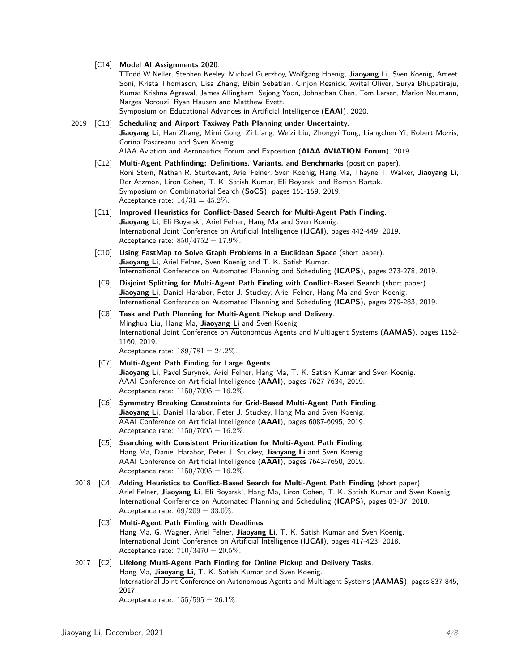#### [C14] **Model AI Assignments 2020**.

TTodd W.Neller, Stephen Keeley, Michael Guerzhoy, Wolfgang Hoenig, **Jiaoyang Li**, Sven Koenig, Ameet Soni, Krista Thomason, Lisa Zhang, Bibin Sebatian, Cinjon Resnick, Avital Oliver, Surya Bhupatiraju, Kumar Krishna Agrawal, James Allingham, Sejong Yoon, Johnathan Chen, Tom Larsen, Marion Neumann, Narges Norouzi, Ryan Hausen and Matthew Evett.

Symposium on Educational Advances in Artificial Intelligence (**EAAI**), 2020.

2019 [C13] **Scheduling and Airport Taxiway Path Planning under Uncertainty**. **Jiaoyang Li**, Han Zhang, Mimi Gong, Zi Liang, Weizi Liu, Zhongyi Tong, Liangchen Yi, Robert Morris, Corina Pasareanu and Sven Koenig. AIAA Aviation and Aeronautics Forum and Exposition (**AIAA AVIATION Forum**), 2019.

- [C12] **Multi-Agent Pathfinding: Definitions, Variants, and Benchmarks** (position paper). Roni Stern, Nathan R. Sturtevant, Ariel Felner, Sven Koenig, Hang Ma, Thayne T. Walker, **Jiaoyang Li**, Dor Atzmon, Liron Cohen, T. K. Satish Kumar, Eli Boyarski and Roman Bartak. Symposium on Combinatorial Search (**SoCS**), pages 151-159, 2019. Acceptance rate:  $14/31 = 45.2\%$ .
- [C11] **Improved Heuristics for Conflict-Based Search for Multi-Agent Path Finding**. **Jiaoyang Li**, Eli Boyarski, Ariel Felner, Hang Ma and Sven Koenig. International Joint Conference on Artificial Intelligence (**IJCAI**), pages 442-449, 2019. Acceptance rate: 850*/*4752 = 17*.*9%.
- [C10] **Using FastMap to Solve Graph Problems in a Euclidean Space** (short paper). **Jiaoyang Li**, Ariel Felner, Sven Koenig and T. K. Satish Kumar. International Conference on Automated Planning and Scheduling (**ICAPS**), pages 273-278, 2019.
- [C9] **Disjoint Splitting for Multi-Agent Path Finding with Conflict-Based Search** (short paper). **Jiaoyang Li**, Daniel Harabor, Peter J. Stuckey, Ariel Felner, Hang Ma and Sven Koenig. International Conference on Automated Planning and Scheduling (**ICAPS**), pages 279-283, 2019.
- [C8] **Task and Path Planning for Multi-Agent Pickup and Delivery**. Minghua Liu, Hang Ma, **Jiaoyang Li** and Sven Koenig. International Joint Conference on Autonomous Agents and Multiagent Systems (**AAMAS**), pages 1152- 1160, 2019. Acceptance rate: 189*/*781 = 24*.*2%.
- [C7] **Multi-Agent Path Finding for Large Agents**. **Jiaoyang Li**, Pavel Surynek, Ariel Felner, Hang Ma, T. K. Satish Kumar and Sven Koenig. AAAI Conference on Artificial Intelligence (**AAAI**), pages 7627-7634, 2019. Acceptance rate: 1150*/*7095 = 16*.*2%.
- [C6] **Symmetry Breaking Constraints for Grid-Based Multi-Agent Path Finding**. **Jiaoyang Li**, Daniel Harabor, Peter J. Stuckey, Hang Ma and Sven Koenig. AAAI Conference on Artificial Intelligence (**AAAI**), pages 6087-6095, 2019. Acceptance rate: 1150*/*7095 = 16*.*2%.
- [C5] **Searching with Consistent Prioritization for Multi-Agent Path Finding**. Hang Ma, Daniel Harabor, Peter J. Stuckey, **Jiaoyang Li** and Sven Koenig. AAAI Conference on Artificial Intelligence (**AAAI**), pages 7643-7650, 2019. Acceptance rate: 1150*/*7095 = 16*.*2%.
- 2018 [C4] **Adding Heuristics to Conflict-Based Search for Multi-Agent Path Finding** (short paper). Ariel Felner, **Jiaoyang Li**, Eli Boyarski, Hang Ma, Liron Cohen, T. K. Satish Kumar and Sven Koenig. International Conference on Automated Planning and Scheduling (**ICAPS**), pages 83-87, 2018. Acceptance rate: 69*/*209 = 33*.*0%.
	- [C3] **Multi-Agent Path Finding with Deadlines**. Hang Ma, G. Wagner, Ariel Felner, **Jiaoyang Li**, T. K. Satish Kumar and Sven Koenig. International Joint Conference on Artificial Intelligence (**IJCAI**), pages 417-423, 2018. Acceptance rate: 710*/*3470 = 20*.*5%.

#### 2017 [C2] **Lifelong Multi-Agent Path Finding for Online Pickup and Delivery Tasks**. Hang Ma, **Jiaoyang Li**, T. K. Satish Kumar and Sven Koenig. International Joint Conference on Autonomous Agents and Multiagent Systems (**AAMAS**), pages 837-845, 2017. Acceptance rate: 155*/*595 = 26*.*1%.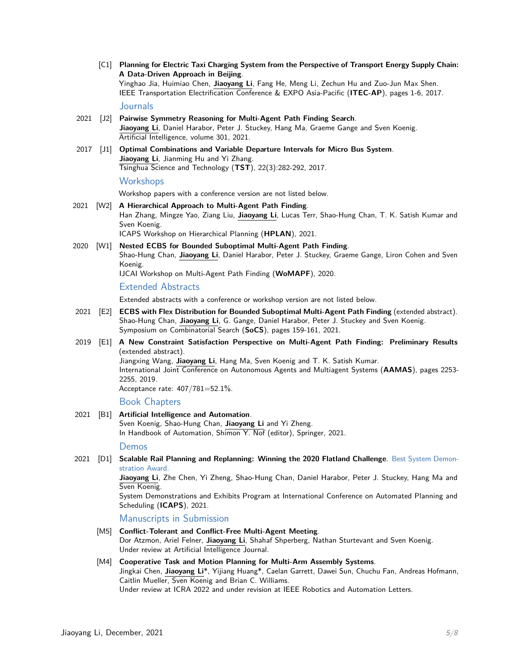[C1] **Planning for Electric Taxi Charging System from the Perspective of Transport Energy Supply Chain: A Data-Driven Approach in Beijing**. Yinghao Jia, Huimiao Chen, **Jiaoyang Li**, Fang He, Meng Li, Zechun Hu and Zuo-Jun Max Shen. IEEE Transportation Electrification Conference & EXPO Asia-Pacific (**ITEC-AP**), pages 1-6, 2017.

#### Journals

- 2021 [J2] **Pairwise Symmetry Reasoning for Multi-Agent Path Finding Search**. **Jiaoyang Li**, Daniel Harabor, Peter J. Stuckey, Hang Ma, Graeme Gange and Sven Koenig. Artificial Intelligence, volume 301, 2021.
- 2017 [J1] **Optimal Combinations and Variable Departure Intervals for Micro Bus System**. **Jiaoyang Li**, Jianming Hu and Yi Zhang. Tsinghua Science and Technology (**TST**), 22(3):282-292, 2017.

#### **Workshops**

Workshop papers with a conference version are not listed below.

- 2021 [W2] **A Hierarchical Approach to Multi-Agent Path Finding**. Han Zhang, Mingze Yao, Ziang Liu, **Jiaoyang Li**, Lucas Terr, Shao-Hung Chan, T. K. Satish Kumar and Sven Koenig. ICAPS Workshop on Hierarchical Planning (**HPLAN**), 2021.
- 2020 [W1] **Nested ECBS for Bounded Suboptimal Multi-Agent Path Finding**. Shao-Hung Chan, **Jiaoyang Li**, Daniel Harabor, Peter J. Stuckey, Graeme Gange, Liron Cohen and Sven Koenig. IJCAI Workshop on Multi-Agent Path Finding (**WoMAPF**), 2020.

Extended Abstracts

Extended abstracts with a conference or workshop version are not listed below.

- 2021 [E2] **ECBS with Flex Distribution for Bounded Suboptimal Multi-Agent Path Finding** (extended abstract). Shao-Hung Chan, **Jiaoyang Li**, G. Gange, Daniel Harabor, Peter J. Stuckey and Sven Koenig. Symposium on Combinatorial Search (**SoCS**), pages 159-161, 2021.
- 2019 [E1] **A New Constraint Satisfaction Perspective on Multi-Agent Path Finding: Preliminary Results** (extended abstract).

Jiangxing Wang, **Jiaoyang Li**, Hang Ma, Sven Koenig and T. K. Satish Kumar. International Joint Conference on Autonomous Agents and Multiagent Systems (**AAMAS**), pages 2253- 2255, 2019.

Acceptance rate: 407/781=52.1%.

Book Chapters

#### 2021 [B1] **Artificial Intelligence and Automation**.

Sven Koenig, Shao-Hung Chan, **Jiaoyang Li** and Yi Zheng. In Handbook of Automation, Shimon Y. Nof (editor), Springer, 2021.

Demos

2021 [D1] **Scalable Rail Planning and Replanning: Winning the 2020 Flatland Challenge**. Best System Demonstration Award.

> **Jiaoyang Li**, Zhe Chen, Yi Zheng, Shao-Hung Chan, Daniel Harabor, Peter J. Stuckey, Hang Ma and Sven Koenig.

> System Demonstrations and Exhibits Program at International Conference on Automated Planning and Scheduling (**ICAPS**), 2021.

Manuscripts in Submission

[M5] **Conflict-Tolerant and Conflict-Free Multi-Agent Meeting**. Dor Atzmon, Ariel Felner, **Jiaoyang Li**, Shahaf Shperberg, Nathan Sturtevant and Sven Koenig. Under review at Artificial Intelligence Journal.

#### [M4] **Cooperative Task and Motion Planning for Multi-Arm Assembly Systems**. Jingkai Chen, **Jiaoyang Li**\*, Yijiang Huang\*, Caelan Garrett, Dawei Sun, Chuchu Fan, Andreas Hofmann, Caitlin Mueller, Sven Koenig and Brian C. Williams. Under review at ICRA 2022 and under revision at IEEE Robotics and Automation Letters.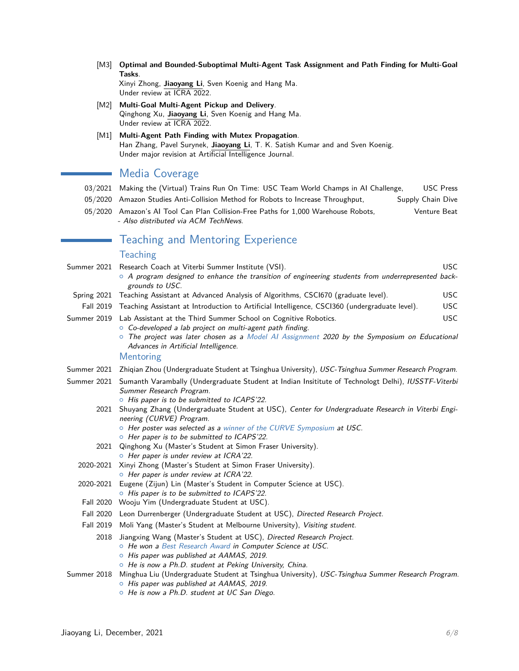[M3] **Optimal and Bounded-Suboptimal Multi-Agent Task Assignment and Path Finding for Multi-Goal Tasks**.

Xinyi Zhong, **Jiaoyang Li**, Sven Koenig and Hang Ma. Under review at ICRA 2022.

- [M2] **Multi-Goal Multi-Agent Pickup and Delivery**. Qinghong Xu, **Jiaoyang Li**, Sven Koenig and Hang Ma. Under review at ICRA 2022.
- [M1] **Multi-Agent Path Finding with Mutex Propagation**. Han Zhang, Pavel Surynek, **Jiaoyang Li**, T. K. Satish Kumar and and Sven Koenig. Under major revision at Artificial Intelligence Journal.

## Media Coverage

- 03/2021 [Making the \(Virtual\) Trains Run On Time: USC Team World Champs in AI Challenge,](https://viterbischool.usc.edu/news/2021/03/making-the-virtual-trains-run-on-time-usc-team-world-champs-in-ai-challenge/) USC Press
- 05/2020 [Amazon Studies Anti-Collision Method for Robots to Increase Throughput,](https://www.supplychaindive.com/news/amazon-robots-from-colliding-increasing-throughput-warehouse/578599/) Supply Chain Dive
- 05/2020 [Amazon's AI Tool Can Plan Collision-Free Paths for 1,000 Warehouse Robots,](https://venturebeat.com/2020/05/18/amazons-ai-tool-can-plan-collision-free-paths-for-1000-warehouse-robots/) Venture Beat - Also distributed via ACM TechNews.

## Teaching and Mentoring Experience

#### **Teaching**

- Summer 2021 Research Coach at Viterbi Summer Institute (VSI). USC  $\circ$  A program designed to enhance the transition of engineering students from underrepresented backgrounds to USC. Spring 2021 Teaching Assistant at Advanced Analysis of Algorithms, CSCI670 (graduate level). USC Fall 2019 Teaching Assistant at Introduction to Artificial Intelligence, CSCI360 (undergraduate level). USC
- Summer 2019 Lab Assistant at the Third Summer School on Cognitive Robotics. USC
	- $\circ$  Co-developed a lab project on multi-agent path finding.
		- $\circ$  The project was later chosen as a Model AI Assignment 2020 by the Symposium on Educational Advances in Artificial Intelligence.

#### Mentoring

- Summer 2021 Zhiqian Zhou (Undergraduate Student at Tsinghua University), USC-Tsinghua Summer Research Program.
- Summer 2021 Sumanth Varambally (Undergraduate Student at Indian Insititute of Technologt Delhi), IUSSTF-Viterbi Summer Research Program.
	- $\circ$  His paper is to be submitted to ICAPS'22.
	- 2021 Shuyang Zhang (Undergraduate Student at USC), Center for Undergraduate Research in Viterbi Engineering (CURVE) Program.
		- o Her poster was selected as a winner of the CURVE Symposium at USC.
		- $\circ$  Her paper is to be submitted to ICAPS'22.
	- 2021 Qinghong Xu (Master's Student at Simon Fraser University). **o** Her paper is under review at ICRA'22.
	- 2020-2021 Xinyi Zhong (Master's Student at Simon Fraser University).  $\circ$  Her paper is under review at ICRA'22.
	- 2020-2021 Eugene (Zijun) Lin (Master's Student in Computer Science at USC).  $\circ$  His paper is to be submitted to ICAPS'22.
	- Fall 2020 Wooju Yim (Undergraduate Student at USC).
	- Fall 2020 Leon Durrenberger (Undergraduate Student at USC), Directed Research Project.
	- Fall 2019 Moli Yang (Master's Student at Melbourne University), Visiting student.
		- 2018 Jiangxing Wang (Master's Student at USC), Directed Research Project.
			- o He won a Best Research Award in Computer Science at USC.
			- $\circ$  His paper was published at AAMAS, 2019.
			- $\circ$  He is now a Ph.D. student at Peking University, China.

#### Summer 2018 Minghua Liu (Undergraduate Student at Tsinghua University), USC-Tsinghua Summer Research Program.  $\circ$  His paper was published at AAMAS, 2019.

 $\circ$  He is now a Ph.D. student at UC San Diego.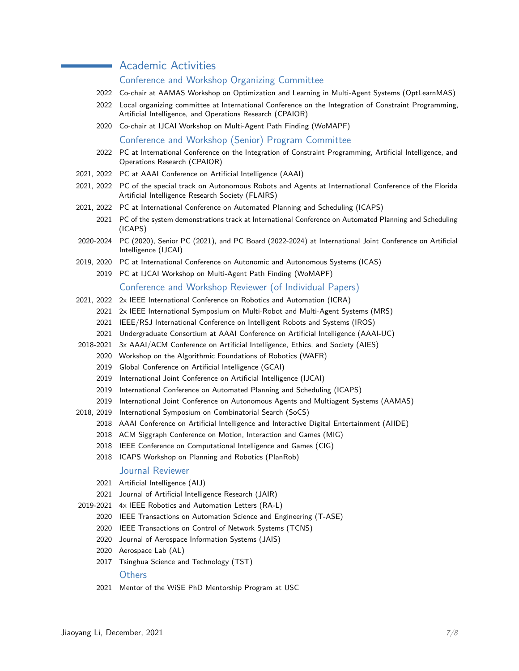## **Academic Activities**

#### Conference and Workshop Organizing Committee

- 2022 Co-chair at AAMAS Workshop on Optimization and Learning in Multi-Agent Systems (OptLearnMAS)
- 2022 Local organizing committee at International Conference on the Integration of Constraint Programming, Artificial Intelligence, and Operations Research (CPAIOR)
- 2020 Co-chair at IJCAI Workshop on Multi-Agent Path Finding (WoMAPF)

Conference and Workshop (Senior) Program Committee

- 2022 PC at International Conference on the Integration of Constraint Programming, Artificial Intelligence, and Operations Research (CPAIOR)
- 2021, 2022 PC at AAAI Conference on Artificial Intelligence (AAAI)
- 2021, 2022 PC of the special track on Autonomous Robots and Agents at International Conference of the Florida Artificial Intelligence Research Society (FLAIRS)
- 2021, 2022 PC at International Conference on Automated Planning and Scheduling (ICAPS)
	- 2021 PC of the system demonstrations track at International Conference on Automated Planning and Scheduling (ICAPS)
- 2020-2024 PC (2020), Senior PC (2021), and PC Board (2022-2024) at International Joint Conference on Artificial Intelligence (IJCAI)
- 2019, 2020 PC at International Conference on Autonomic and Autonomous Systems (ICAS)
	- 2019 PC at IJCAI Workshop on Multi-Agent Path Finding (WoMAPF)

#### Conference and Workshop Reviewer (of Individual Papers)

- 2021, 2022 2x IEEE International Conference on Robotics and Automation (ICRA)
	- 2021 2x IEEE International Symposium on Multi-Robot and Multi-Agent Systems (MRS)
	- 2021 IEEE/RSJ International Conference on Intelligent Robots and Systems (IROS)
	- 2021 Undergraduate Consortium at AAAI Conference on Artificial Intelligence (AAAI-UC)
- 2018-2021 3x AAAI/ACM Conference on Artificial Intelligence, Ethics, and Society (AIES)
	- 2020 Workshop on the Algorithmic Foundations of Robotics (WAFR)
		- 2019 Global Conference on Artificial Intelligence (GCAI)
		- 2019 International Joint Conference on Artificial Intelligence (IJCAI)
	- 2019 International Conference on Automated Planning and Scheduling (ICAPS)
	- 2019 International Joint Conference on Autonomous Agents and Multiagent Systems (AAMAS)
- 2018, 2019 International Symposium on Combinatorial Search (SoCS)
	- 2018 AAAI Conference on Artificial Intelligence and Interactive Digital Entertainment (AIIDE)
	- 2018 ACM Siggraph Conference on Motion, Interaction and Games (MIG)
	- 2018 IEEE Conference on Computational Intelligence and Games (CIG)
	- 2018 ICAPS Workshop on Planning and Robotics (PlanRob)

#### Journal Reviewer

- 2021 Artificial Intelligence (AIJ)
- 2021 Journal of Artificial Intelligence Research (JAIR)
- 2019-2021 4x IEEE Robotics and Automation Letters (RA-L)
	- 2020 IEEE Transactions on Automation Science and Engineering (T-ASE)
	- 2020 IEEE Transactions on Control of Network Systems (TCNS)
	- 2020 Journal of Aerospace Information Systems (JAIS)
	- 2020 Aerospace Lab (AL)
	- 2017 Tsinghua Science and Technology (TST)

#### **Others**

2021 Mentor of the WiSE PhD Mentorship Program at USC